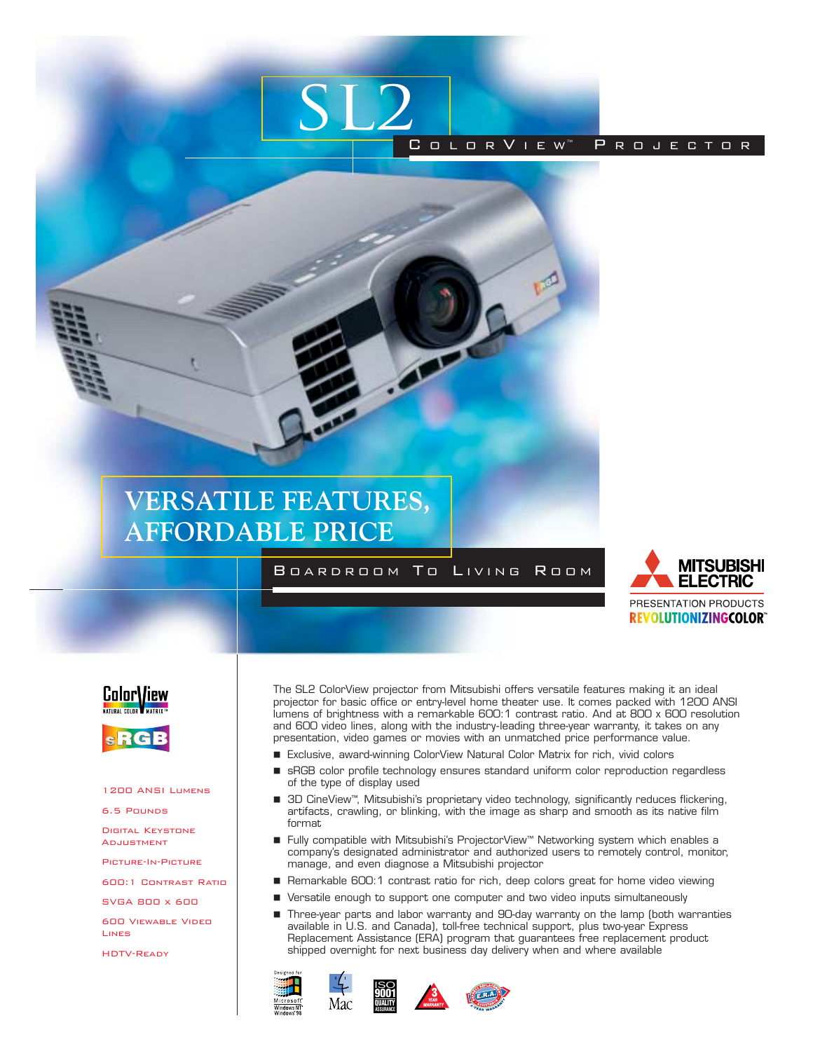

# **VERSATILE FEATURES, AFFORDABLE PRICE**

## B OARDROOM T O LIVING R OOM







#### 1200 ANSI Lumens

6.5 Pounds

Digital Keystone **ADJUSTMENT** 

Picture-In-Picture

600:1 Contrast Ratio

SVGA 800 x 600

600 Viewable VideoLines

HDTV-Ready

The SL2 ColorView projector from Mitsubishi offers versatile features making it an ideal projector for basic office or entry-level home theater use. It comes packed with 1200 ANSI lumens of brightness with a remarkable 600:1 contrast ratio. And at 800 x 600 resolution and 600 video lines, along with the industry-leading three-year warranty, it takes on any presentation, video games or movies with an unmatched price performance value.

- Exclusive, award-winning ColorView Natural Color Matrix for rich, vivid colors
- sRGB color profile technology ensures standard uniform color reproduction regardless of the type of display used
- 3D CineView™, Mitsubishi's proprietary video technology, significantly reduces flickering, artifacts, crawling, or blinking, with the image as sharp and smooth as its native film format
- Fully compatible with Mitsubishi's ProjectorView™ Networking system which enables a company's designated administrator and authorized users to remotely control, monitor, manage, and even diagnose a Mitsubishi projector
- Remarkable 600:1 contrast ratio for rich, deep colors great for home video viewing
- Versatile enough to support one computer and two video inputs simultaneously
- Three-year parts and labor warranty and 90-day warranty on the lamp (both warranties available in U.S. and Canada), toll-free technical support, plus two-year Express Replacement Assistance (ERA) program that guarantees free replacement product shipped overnight for next business day delivery when and where available